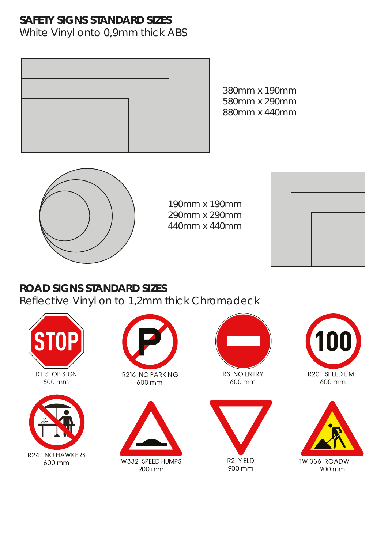# **SAFETY SIGNS STANDARD SIZES**

White Vinyl onto 0,9mm thick ABS



380mm x 190mm 580mm x 290mm 880mm x 440mm



190mm x 190mm 290mm x 290mm 440mm x 440mm



## **ROAD SIGNS STANDARD SIZES**

Reflective Vinyl on to 1,2mm thick Chromadeck













600 mm





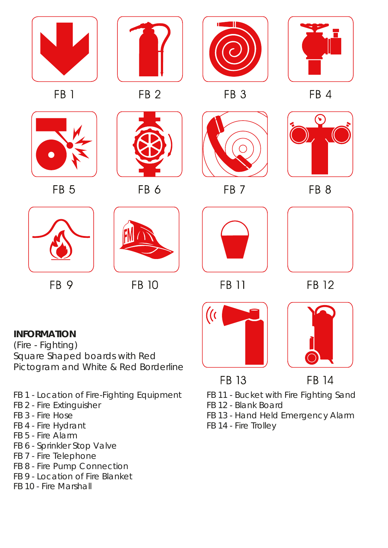

### **INFORMATION**

(Fire - Fighting) *Square Shaped boards with Red Pictogram and White & Red Borderline*

- FB 1 Location of Fire-Fighting Equipment
- FB 2 Fire Extinguisher
- FB 3 Fire Hose
- FB 4 Fire Hydrant
- FB 5 Fire Alarm
- FB 6 Sprinkler Stop Valve
- FB 7 Fire Telephone
- FB 8 Fire Pump Connection
- FB 9 Location of Fire Blanket
- FB 10 Fire Marshall

FB 11 - Bucket with Fire Fighting Sand

**FB 14** 

FB 12 - Blank Board

**FB 13** 

- FB 13 Hand Held Emergency Alarm
- FB 14 Fire Trolley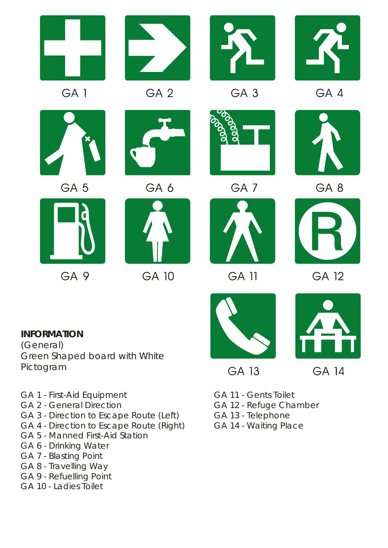

- 
- GA 1 First-Aid Equipment
- GA 2 General Direction
- GA 3 Direction to Escape Route (Left)
- GA 4 Direction to Escape Route (Right)
- GA 5 Manned First-Aid Station
- GA 6 Drinking Water
- GA 7 Blasting Point
- GA 8 Travelling Way
- GA 9 Refuelling Point
- GA 10 Ladies Toilet
- GA 11 Gents Toilet
- GA 12 Refuge Chamber
- GA 13 Telephone
- GA 14 Waiting Place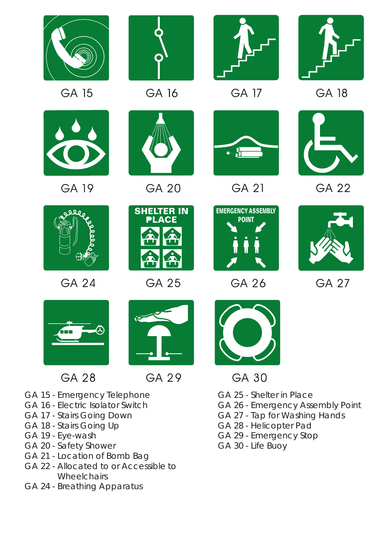

**GA 15** 



**GA 19** 



GA 16



**GA 20** 



**GA 17** 



**GA 18** 



GA 21



**GA 22** 



**GA 24** 



**GA 25** 



**GA 26** 



**GA 27** 



**GA 28** 



GA 29

- GA 15 Emergency Telephone
- GA 16 Electric Isolator Switch
- GA 17 Stairs Going Down
- GA 18 Stairs Going Up
- GA 19 Eye-wash
- GA 20 Safety Shower
- GA 21 Location of Bomb Bag
- GA 22 Allocated to or Accessible to **Wheelchairs**
- GA 24 Breathing Apparatus



- GA 30
- GA 25 Shelter in Place
- GA 26 Emergency Assembly Point
- GA 27 Tap for Washing Hands
- GA 28 Helicopter Pad
- GA 29 Emergency Stop
- GA 30 Life Buoy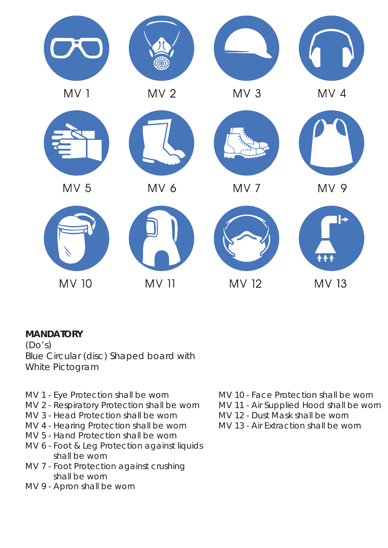

### **MANDATORY**

 $(Do's)$ *Blue Circular (disc) Shaped board with White Pictogram*

- MV 1 Eye Protection shall be worn
- MV 2 Respiratory Protection shall be worn
- MV 3 Head Protection shall be worn
- MV 4 Hearing Protection shall be worn
- MV 5 Hand Protection shall be worn
- MV 6 Foot & Leg Protection against liquids shall be worn
- MV 7 Foot Protection against crushing shall be worn
- MV 9 Apron shall be worn
- MV 10 Face Protection shall be worn
- MV 11 Air Supplied Hood shall be worn
- MV 12 Dust Mask shall be worn
- MV 13 Air Extraction shall be worn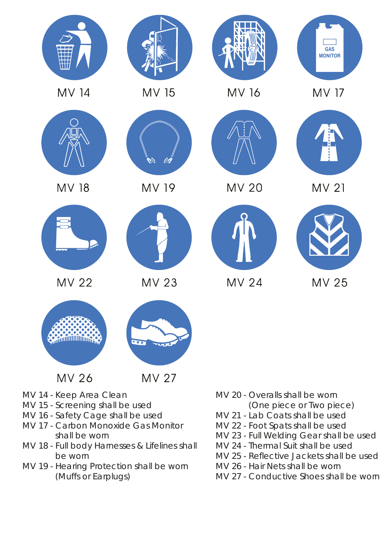

- MV 14 Keep Area Clean
- MV 15 Screening shall be used
- MV 16 Safety Cage shall be used
- MV 17 Carbon Monoxide Gas Monitor shall be worn
- MV 18 Full body Harnesses & Lifelines shall be worn
- MV 19 Hearing Protection shall be worn (Muffs or Earplugs)
- MV 20 Overalls shall be worn
	- (One piece or Two piece)
- MV 21 Lab Coats shall be used
- MV 22 Foot Spats shall be used
- MV 23 Full Welding Gear shall be used
- MV 24 Thermal Suit shall be used
- MV 25 Reflective Jackets shall be used
- MV 26 Hair Nets shall be worn
- MV 27 Conductive Shoes shall be worn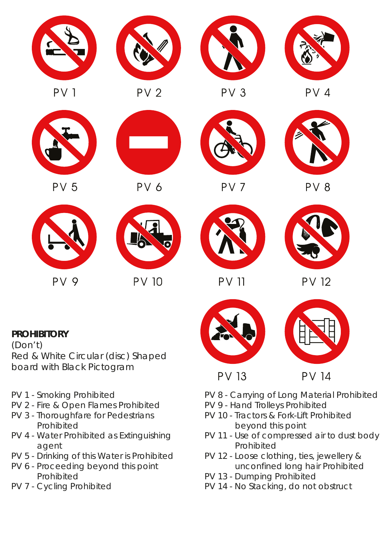

#### **PROHIBITORY**

(Don't) *Red & White Circular (disc) Shaped board with Black Pictogram*

- PV 1 Smoking Prohibited
- PV 2 Fire & Open Flames Prohibited
- PV 3 Thoroughfare for Pedestrians Prohibited
- PV 4 Water Prohibited as Extinguishing agent
- PV 5 Drinking of this Water is Prohibited
- PV 6 Proceeding beyond this point Prohibited
- PV 7 Cycling Prohibited





- **PV 14**
- PV 8 Carrying of Long Material Prohibited
- PV 9 Hand Trolleys Prohibited
- PV 10 Tractors & Fork-Lift Prohibited beyond this point
- PV 11 Use of compressed air to dust body Prohibited
- PV 12 Loose clothing, ties, jewellery & unconfined long hair Prohibited
- PV 13 Dumping Prohibited
- PV 14 No Stacking, do not obstruct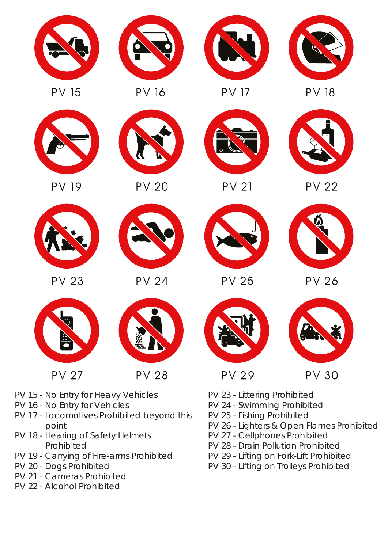

- PV 26 Lighters & Open Flames Prohibited
	- PV 27 Cellphones Prohibited
	- PV 28 Drain Pollution Prohibited
	- PV 29 Lifting on Fork-Lift Prohibited
	- PV 30 Lifting on Trolleys Prohibited
- 
- PV 16 No Entry for Vehicles
- PV 17 Locomotives Prohibited beyond this point
- PV 18 Hearing of Safety Helmets Prohibited
- PV 19 Carrying of Fire-arms Prohibited
- PV 20 Dogs Prohibited
- PV 21 Cameras Prohibited
- PV 22 Alcohol Prohibited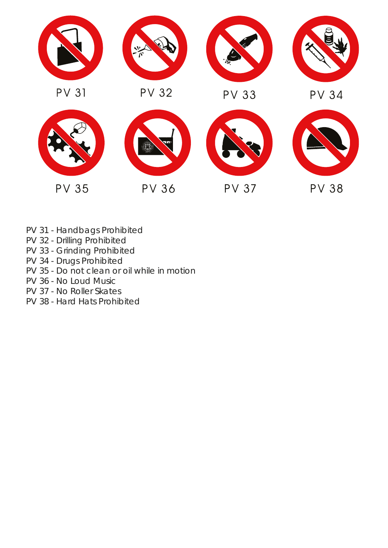

- PV 31 Handbags Prohibited
- PV 32 Drilling Prohibited
- PV 33 Grinding Prohibited
- PV 34 Drugs Prohibited
- PV 35 Do not clean or oil while in motion
- PV 36 No Loud Music
- PV 37 No Roller Skates
- PV 38 Hard Hats Prohibited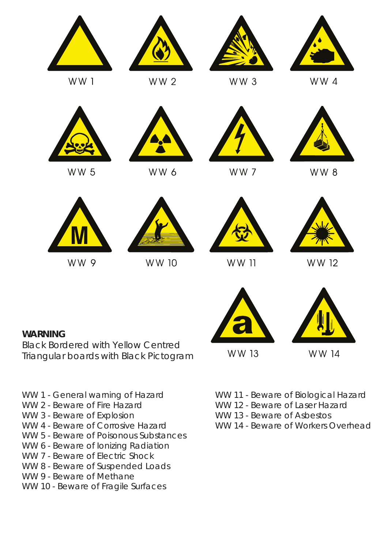

WW 9

**WARNING**



WW 10



WW 11



WW 12



WW 13

WW 14

WW 1 - General warning of Hazard

*Black Bordered with Yellow Centred Triangular boards with Black Pictogram*

- WW 2 Beware of Fire Hazard
- WW 3 Beware of Explosion
- WW 4 Beware of Corrosive Hazard
- WW 5 Beware of Poisonous Substances
- WW 6 Beware of Ionizing Radiation
- WW 7 Beware of Electric Shock
- WW 8 Beware of Suspended Loads
- WW 9 Beware of Methane
- WW 10 Beware of Fragile Surfaces
- WW 11 Beware of Biological Hazard
- WW 12 Beware of Laser Hazard
- WW 13 Beware of Asbestos
- WW 14 Beware of Workers Overhead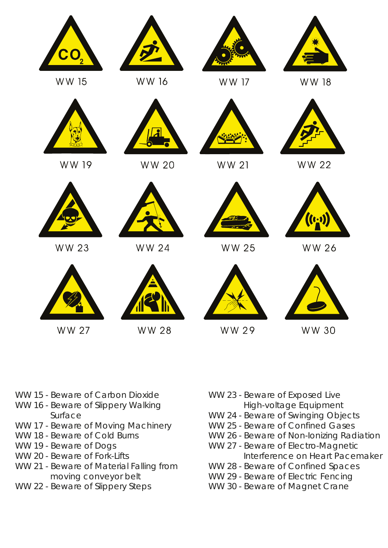

- WW 15 Beware of Carbon Dioxide
- WW 16 Beware of Slippery Walking Surface
- WW 17 Beware of Moving Machinery
- WW 18 Beware of Cold Burns
- WW 19 Beware of Dogs
- WW 20 Beware of Fork-Lifts
- WW 21 Beware of Material Falling from moving conveyor belt
- WW 22 Beware of Slippery Steps
- WW 23 Beware of Exposed Live High-voltage Equipment
- WW 24 Beware of Swinging Objects
- WW 25 Beware of Confined Gases
- WW 26 Beware of Non-Ionizing Radiation
- WW 27 Beware of Electro-Magnetic Interference on Heart Pacemaker
- WW 28 Beware of Confined Spaces
- WW 29 Beware of Electric Fencing
- WW 30 Beware of Magnet Crane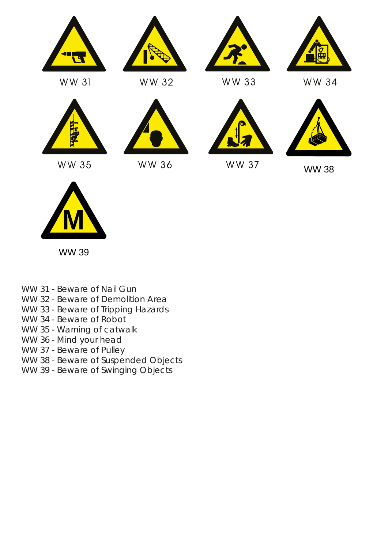

WW 31



WW 35



WW 32

WW 36





WW 33





WW 37



WW 38



WW 39

- WW 31 Beware of Nail Gun
- WW 32 Beware of Demolition Area
- WW 33 Beware of Tripping Hazards
- WW 34 Beware of Robot
- WW 35 Warning of catwalk
- WW 36 Mind your head
- WW 37 Beware of Pulley
- WW 38 Beware of Suspended Objects
- WW 39 Beware of Swinging Objects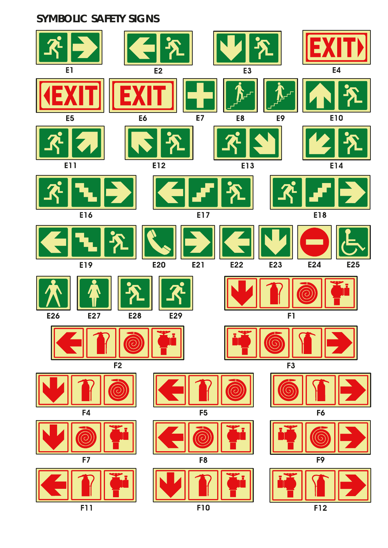### **SYMBOLIC SAFETY SIGNS**